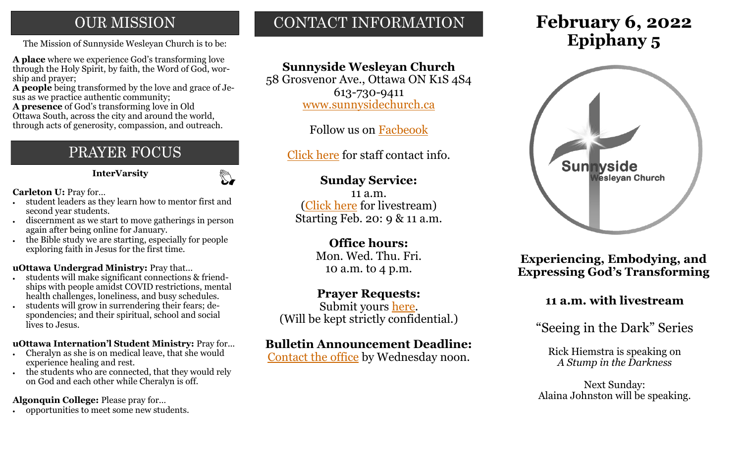# **OUR MISSION**

The Mission of Sunnyside Wesleyan Church is to be: **Epiphany 5** 

**A place** where we experience God's transforming love through the Holy Spirit, by faith, the Word of God, worship and prayer;

**A people** being transformed by the love and grace of Jesus as we practice authentic community;

**A presence** of God's transforming love in Old Ottawa South, across the city and around the world, through acts of generosity, compassion, and outreach.

# PRAYER FOCUS

**InterVarsity**

 $\mathbb{C}$ 

**Carleton U:** Pray for…

- student leaders as they learn how to mentor first and second year students.
- discernment as we start to move gatherings in person again after being online for January.
- the Bible study we are starting, especially for people exploring faith in Jesus for the first time.

#### **uOttawa Undergrad Ministry:** Pray that...

- students will make significant connections & friendships with people amidst COVID restrictions, mental health challenges, loneliness, and busy schedules.
- students will grow in surrendering their fears; despondencies; and their spiritual, school and social lives to Jesus.

#### **uOttawa Internation'l Student Ministry:** Pray for...

- Cheralyn as she is on medical leave, that she would experience healing and rest.
- the students who are connected, that they would rely on God and each other while Cheralyn is off.

#### **Algonquin College:** Please pray for…

• opportunities to meet some new students.

# CONTACT INFORMATION

# **Sunnyside Wesleyan Church**

58 Grosvenor Ave., Ottawa ON K1S 4S4 613-730-9411 [www.sunnysidechurch.ca](http://www.sunnysidechurch.ca)

Follow us on [Facbeook](http://www.facebook.com/sunnysidewesleyanchurch)

[Click here](http://www.sunnysidechurch.ca/about-sunnyside/staff/) for staff contact info.

### **Sunday Service:**

11 a.m. [\(Click here](https://youtube.com/channel/UCYfl9Qy37Az7fqqFQpDEwjg) for livestream) Starting Feb. 20: 9 & 11 a.m.

# **Office hours:**

Mon. Wed. Thu. Fri. 10 a.m. to 4 p.m.

#### **Prayer Requests:**

Submit yours [here.](mailto:prayer@sunnysidechurch.ca) (Will be kept strictly confidential.)

#### **Bulletin Announcement Deadline:**

[Contact the office](mailto:office@sunnysidechurch.ca) by Wednesday noon.

# **February 6, 2022**



**Experiencing, Embodying, and Expressing God's Transforming** 

## **11 a.m. with livestream**

"Seeing in the Dark" Series

Rick Hiemstra is speaking on *A Stump in the Darkness* 

Next Sunday: Alaina Johnston will be speaking.